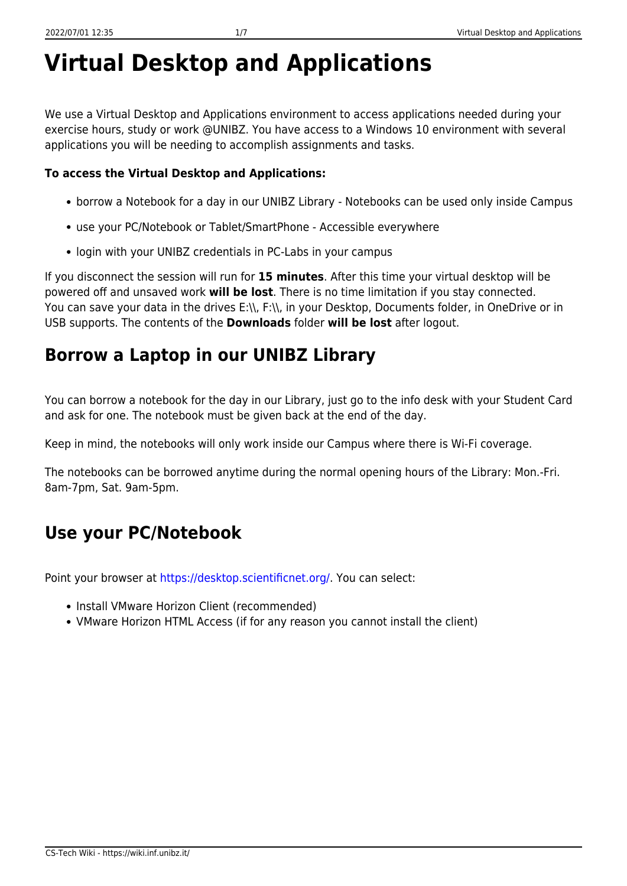# **Virtual Desktop and Applications**

We use a Virtual Desktop and Applications environment to access applications needed during your exercise hours, study or work @UNIBZ. You have access to a Windows 10 environment with several applications you will be needing to accomplish assignments and tasks.

#### **To access the Virtual Desktop and Applications:**

- borrow a Notebook for a day in our UNIBZ Library Notebooks can be used only inside Campus
- use your PC/Notebook or Tablet/SmartPhone Accessible everywhere
- login with your UNIBZ credentials in PC-Labs in your campus

If you disconnect the session will run for **15 minutes**. After this time your virtual desktop will be powered off and unsaved work **will be lost**. There is no time limitation if you stay connected. You can save your data in the drives E:\\, F:\\, in your Desktop, Documents folder, in OneDrive or in USB supports. The contents of the **Downloads** folder **will be lost** after logout.

## **Borrow a Laptop in our UNIBZ Library**

You can borrow a notebook for the day in our Library, just go to the info desk with your Student Card and ask for one. The notebook must be given back at the end of the day.

Keep in mind, the notebooks will only work inside our Campus where there is Wi-Fi coverage.

The notebooks can be borrowed anytime during the normal opening hours of the Library: Mon.-Fri. 8am-7pm, Sat. 9am-5pm.

# **Use your PC/Notebook**

Point your browser at<https://desktop.scientificnet.org/>. You can select:

- Install VMware Horizon Client (recommended)
- VMware Horizon HTML Access (if for any reason you cannot install the client)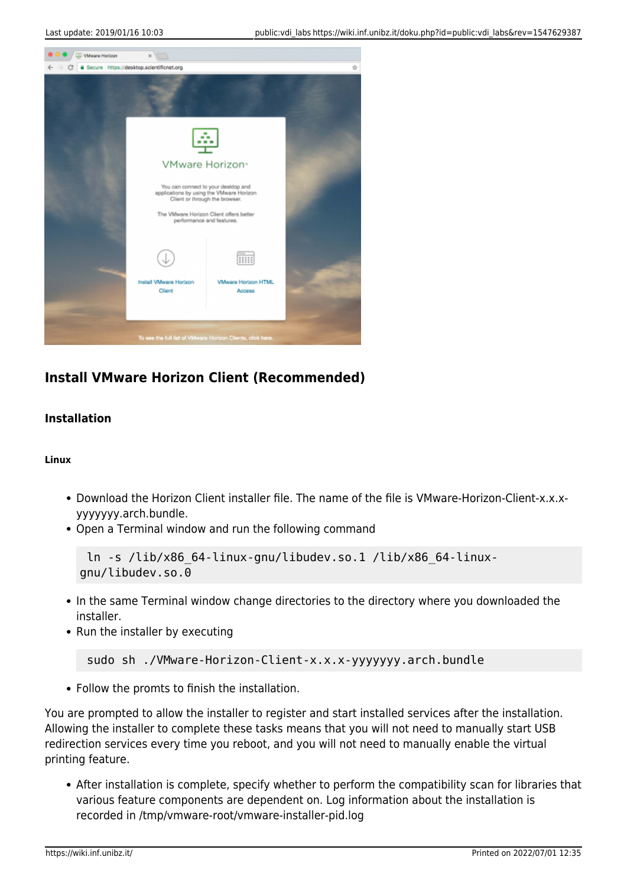

### **Install VMware Horizon Client (Recommended)**

#### **Installation**

#### **Linux**

- Download the Horizon Client installer file. The name of the file is VMware-Horizon-Client-x.x.xyyyyyyy.arch.bundle.
- Open a Terminal window and run the following command

```
 ln -s /lib/x86_64-linux-gnu/libudev.so.1 /lib/x86_64-linux-
gnu/libudev.so.0
```
- In the same Terminal window change directories to the directory where you downloaded the installer.
- Run the installer by executing

```
 sudo sh ./VMware-Horizon-Client-x.x.x-yyyyyyy.arch.bundle
```
• Follow the promts to finish the installation.

You are prompted to allow the installer to register and start installed services after the installation. Allowing the installer to complete these tasks means that you will not need to manually start USB redirection services every time you reboot, and you will not need to manually enable the virtual printing feature.

After installation is complete, specify whether to perform the compatibility scan for libraries that various feature components are dependent on. Log information about the installation is recorded in /tmp/vmware-root/vmware-installer-pid.log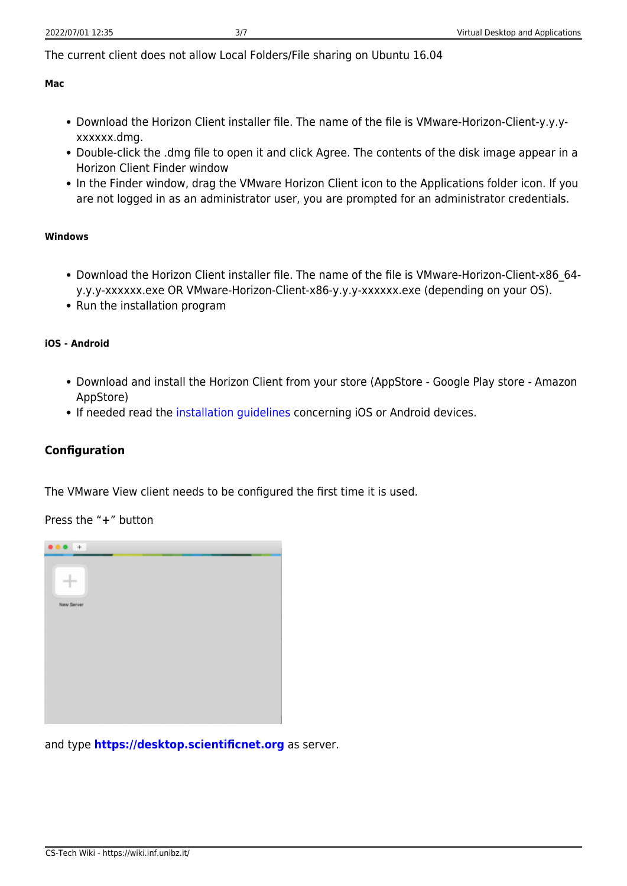The current client does not allow Local Folders/File sharing on Ubuntu 16.04

#### **Mac**

- Download the Horizon Client installer file. The name of the file is VMware-Horizon-Client-y.y.yxxxxxx.dmg.
- Double-click the .dmg file to open it and click Agree. The contents of the disk image appear in a Horizon Client Finder window
- In the Finder window, drag the VMware Horizon Client icon to the Applications folder icon. If you are not logged in as an administrator user, you are prompted for an administrator credentials.

#### **Windows**

- Download the Horizon Client installer file. The name of the file is VMware-Horizon-Client-x86\_64 y.y.y-xxxxxx.exe OR VMware-Horizon-Client-x86-y.y.y-xxxxxx.exe (depending on your OS).
- Run the installation program

#### **iOS - Android**

- Download and install the Horizon Client from your store (AppStore Google Play store Amazon AppStore)
- If needed read the [installation guidelines](https://my.vmware.com/web/vmware/info?slug=desktop_end_user_computing/vmware_horizon_clients/4_0) concerning iOS or Android devices.

#### **Configuration**

The VMware View client needs to be configured the first time it is used.

Press the "**+**" button



and type **<https://desktop.scientificnet.org>** as server.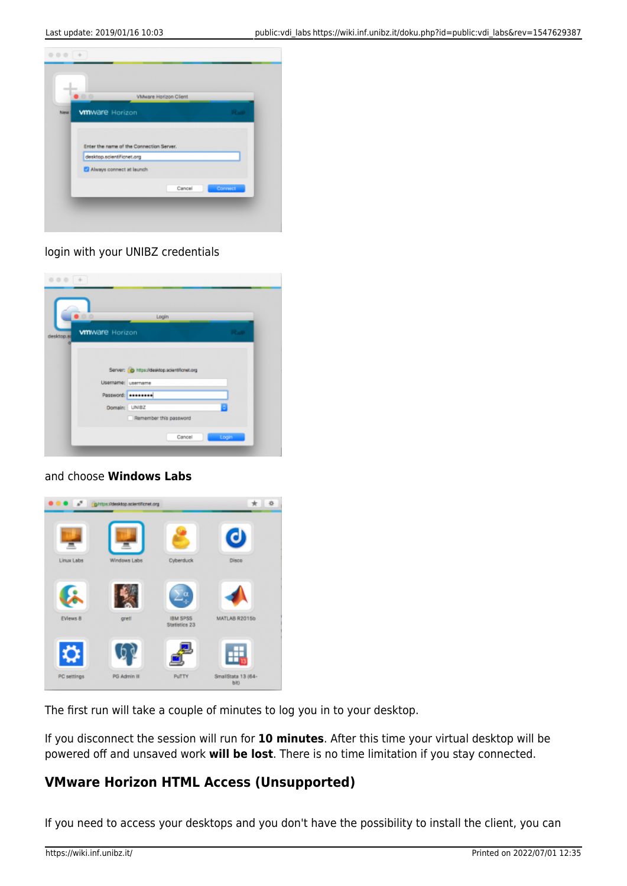

#### login with your UNIBZ credentials

| $\bullet$ 00                         | Login                                         |              |
|--------------------------------------|-----------------------------------------------|--------------|
| <b>vm</b> ware Horizon<br>desktop.st |                                               | <b>PCoIP</b> |
|                                      |                                               |              |
|                                      | Server: (c) https://desktop.scientificnet.org |              |
|                                      |                                               |              |
| Usemame: username                    |                                               |              |
|                                      | Password: <b>********</b>                     |              |
| Domain: UNIBZ                        |                                               | ä            |
|                                      | Remember this password                        |              |

#### and choose **Windows Labs**



The first run will take a couple of minutes to log you in to your desktop.

If you disconnect the session will run for **10 minutes**. After this time your virtual desktop will be powered off and unsaved work **will be lost**. There is no time limitation if you stay connected.

### **VMware Horizon HTML Access (Unsupported)**

If you need to access your desktops and you don't have the possibility to install the client, you can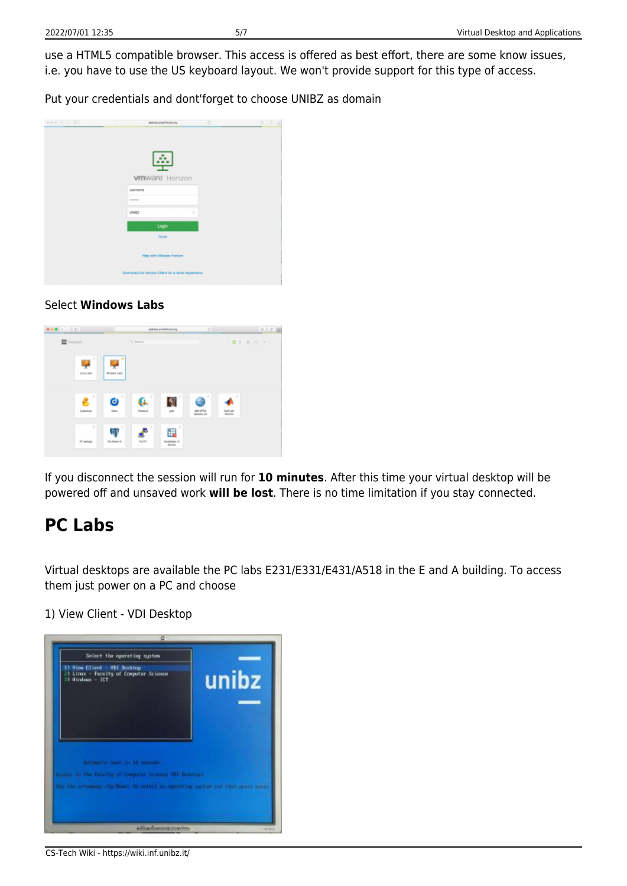use a HTML5 compatible browser. This access is offered as best effort, there are some know issues, i.e. you have to use the US keyboard layout. We won't provide support for this type of access.

Put your credentials and dont'forget to choose UNIBZ as domain

| 000 ( ) 0 | 75<br><b><i>Reinforcestford.org</i></b>             | 0.014 |
|-----------|-----------------------------------------------------|-------|
|           |                                                     |       |
|           |                                                     |       |
|           |                                                     |       |
|           | - 3                                                 |       |
|           | <b>vm</b> ware Horizon                              |       |
|           | <b>USOTIATIE</b>                                    |       |
|           | <b>STEVENS</b>                                      |       |
|           | UNIX<br>$\lambda_{\rm{B}}$                          |       |
|           | Login                                               |       |
|           | Canoel                                              |       |
|           |                                                     |       |
|           | Help with VMware Horizon                            |       |
|           |                                                     |       |
|           | Download the Harison Client for a richer experience |       |

#### Select **Windows Labs**



If you disconnect the session will run for **10 minutes**. After this time your virtual desktop will be powered off and unsaved work **will be lost**. There is no time limitation if you stay connected.

### **PC Labs**

Virtual desktops are available the PC labs E231/E331/E431/A518 in the E and A building. To access them just power on a PC and choose

1) View Client - VDI Desktop

| 5) View Client - VII Decktop<br>23 Linux - Facelty of Computer Science<br>33 Hindraw - ICT                         | unibz |
|--------------------------------------------------------------------------------------------------------------------|-------|
|                                                                                                                    |       |
| <b>INTIMETAL MAIL IN 14 MILLION</b><br>In the Deadly of Corporat Scheme SEP-Bookhope<br>time to scient manner inc. |       |

CS-Tech Wiki - https://wiki.inf.unibz.it/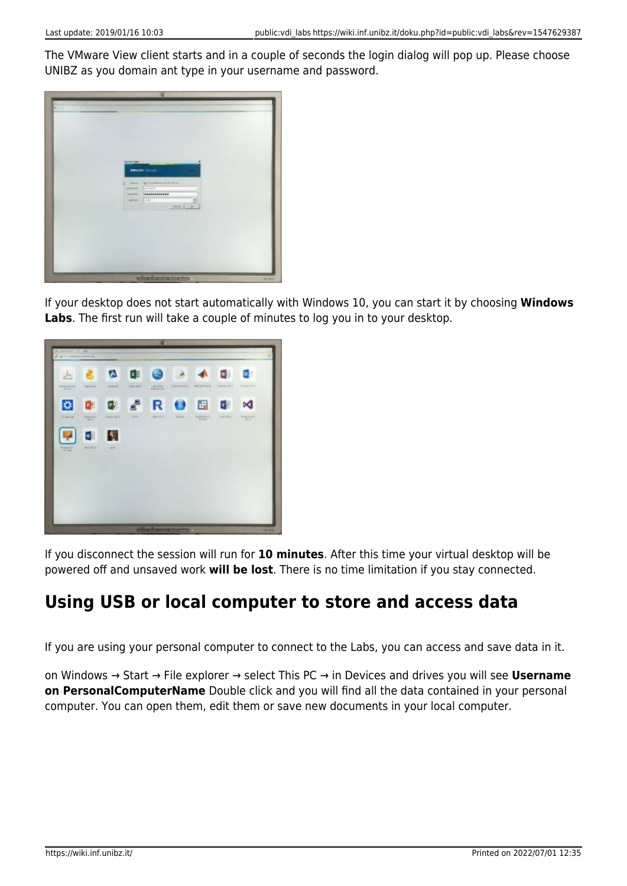The VMware View client starts and in a couple of seconds the login dialog will pop up. Please choose UNIBZ as you domain ant type in your username and password.



If your desktop does not start automatically with Windows 10, you can start it by choosing **Windows Labs**. The first run will take a couple of minutes to log you in to your desktop.



If you disconnect the session will run for **10 minutes**. After this time your virtual desktop will be powered off and unsaved work **will be lost**. There is no time limitation if you stay connected.

# **Using USB or local computer to store and access data**

If you are using your personal computer to connect to the Labs, you can access and save data in it.

on Windows → Start → File explorer → select This PC → in Devices and drives you will see **Username on PersonalComputerName** Double click and you will find all the data contained in your personal computer. You can open them, edit them or save new documents in your local computer.